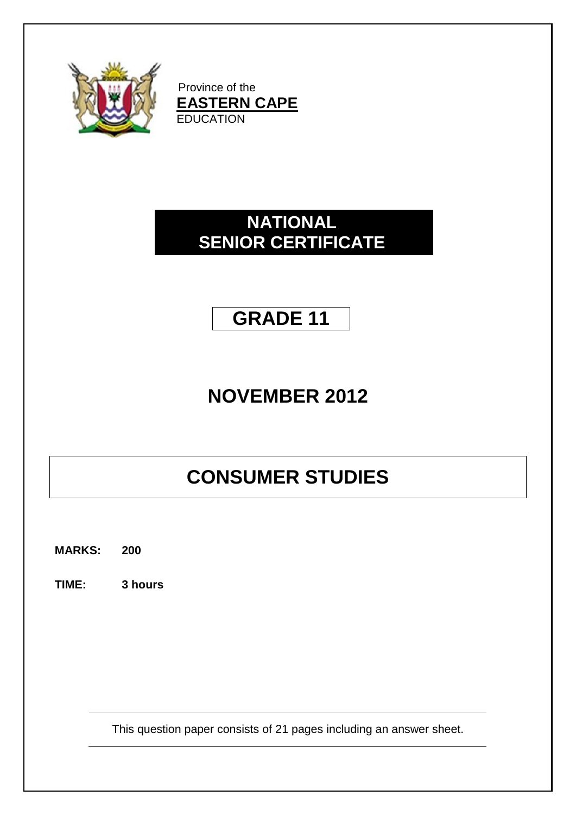

Province of the **EASTERN CAPE EDUCATION** 

# **NATIONAL SENIOR CERTIFICATE**

# **GRADE 11**

# **NOVEMBER 2012**

# **CONSUMER STUDIES**

**MARKS: 200**

**TIME: 3 hours**

This question paper consists of 21 pages including an answer sheet.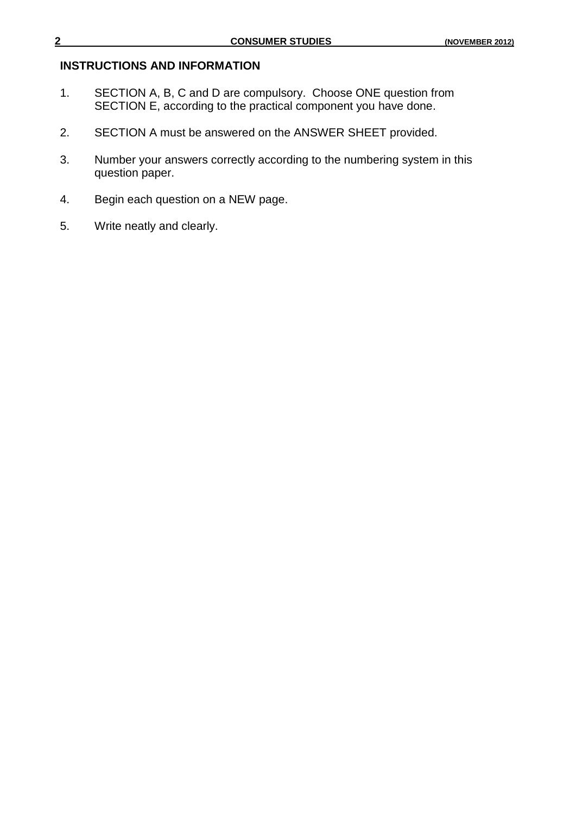#### **INSTRUCTIONS AND INFORMATION**

- 1. SECTION A, B, C and D are compulsory. Choose ONE question from SECTION E, according to the practical component you have done.
- 2. SECTION A must be answered on the ANSWER SHEET provided.
- 3. Number your answers correctly according to the numbering system in this question paper.
- 4. Begin each question on a NEW page.
- 5. Write neatly and clearly.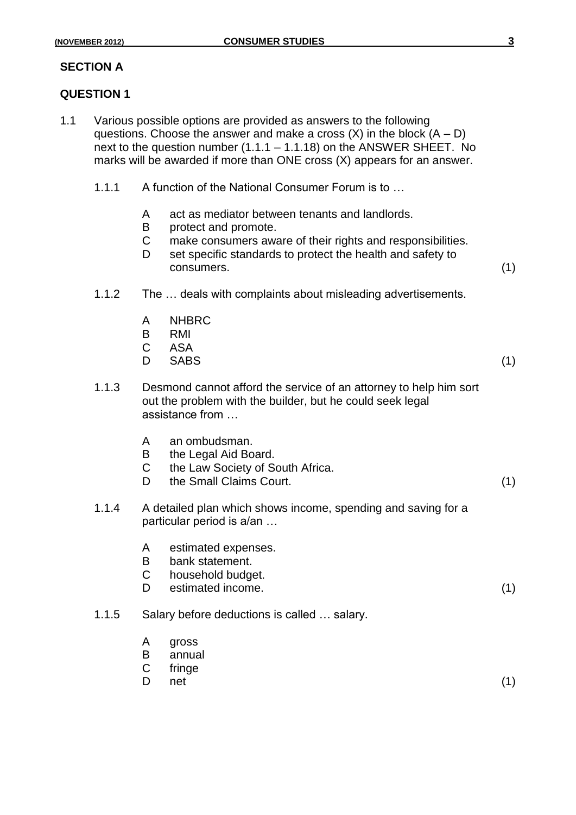### **SECTION A**

#### **QUESTION 1**

- 1.1 Various possible options are provided as answers to the following questions. Choose the answer and make a cross  $(X)$  in the block  $(A - D)$ next to the question number (1.1.1 – 1.1.18) on the ANSWER SHEET. No marks will be awarded if more than ONE cross (X) appears for an answer.
	- 1.1.1 A function of the National Consumer Forum is to …
		- A act as mediator between tenants and landlords.
		- B protect and promote.
		- C make consumers aware of their rights and responsibilities.
		- D set specific standards to protect the health and safety to consumers. (1)
	- 1.1.2 The … deals with complaints about misleading advertisements.
		- A NHBRC
		- B RMI
		- C ASA
		- D SABS (1)
	- 1.1.3 Desmond cannot afford the service of an attorney to help him sort out the problem with the builder, but he could seek legal assistance from …
		- A an ombudsman.
		- B the Legal Aid Board.
		- C the Law Society of South Africa.
		- D the Small Claims Court. (1)
	- 1.1.4 A detailed plan which shows income, spending and saving for a particular period is a/an …
		- A estimated expenses.
		- B bank statement.
		- C household budget.
		- D estimated income. (1)
	- 1.1.5 Salary before deductions is called … salary.
		- A gross
		- B annual
		- C fringe
		- D net  $(1)$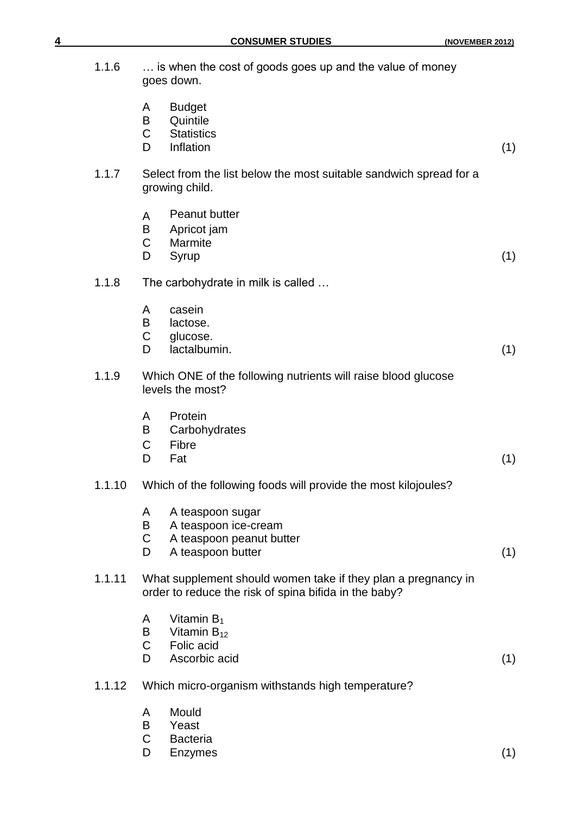| 1.1.6  |                             | is when the cost of goods goes up and the value of money<br>goes down.                                                 |     |
|--------|-----------------------------|------------------------------------------------------------------------------------------------------------------------|-----|
|        | A<br>B<br>$\mathsf C$<br>D  | <b>Budget</b><br>Quintile<br><b>Statistics</b><br>Inflation                                                            | (1) |
| 1.1.7  |                             | Select from the list below the most suitable sandwich spread for a<br>growing child.                                   |     |
|        | A<br>B<br>C<br>D            | <b>Peanut butter</b><br>Apricot jam<br>Marmite<br>Syrup                                                                | (1) |
| 1.1.8  |                             | The carbohydrate in milk is called                                                                                     |     |
|        | A<br>B<br>C<br>D            | casein<br>lactose.<br>glucose.<br>lactalbumin.                                                                         | (1) |
| 1.1.9  |                             | Which ONE of the following nutrients will raise blood glucose<br>levels the most?                                      |     |
|        | A<br>B<br>C<br>D            | Protein<br>Carbohydrates<br>Fibre<br>Fat                                                                               | (1) |
| 1.1.10 |                             | Which of the following foods will provide the most kilojoules?                                                         |     |
|        | A<br>B<br>C<br>D            | A teaspoon sugar<br>A teaspoon ice-cream<br>A teaspoon peanut butter<br>A teaspoon butter                              | (1) |
| 1.1.11 |                             | What supplement should women take if they plan a pregnancy in<br>order to reduce the risk of spina bifida in the baby? |     |
|        | A<br>B<br>$\mathsf{C}$<br>D | Vitamin $B_1$<br>Vitamin $B_{12}$<br>Folic acid<br>Ascorbic acid                                                       | (1) |
| 1.1.12 |                             | Which micro-organism withstands high temperature?                                                                      |     |
|        | A<br>B<br>C<br>D            | Mould<br>Yeast<br><b>Bacteria</b><br>Enzymes                                                                           | (1) |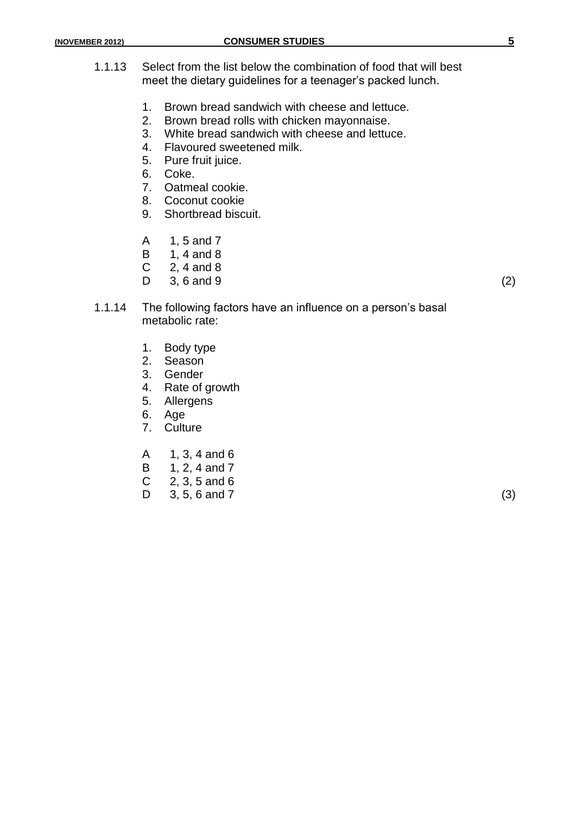- 1.1.13 Select from the list below the combination of food that will best meet the dietary guidelines for a teenager's packed lunch.
	- 1. Brown bread sandwich with cheese and lettuce.
	- 2. Brown bread rolls with chicken mayonnaise.
	- 3. White bread sandwich with cheese and lettuce.
	- 4. Flavoured sweetened milk.
	- 5. Pure fruit juice.
	- 6. Coke.
	- 7. Oatmeal cookie.
	- 8. Coconut cookie
	- 9. Shortbread biscuit.
	- A 1, 5 and 7
	- B 1, 4 and 8
	- C 2, 4 and 8
	- $D = 3, 6 \text{ and } 9$  (2)
- 1.1.14 The following factors have an influence on a person's basal metabolic rate:
	- 1. Body type
	- 2. Season
	- 3. Gender
	- 4. Rate of growth
	- 5. Allergens
	- 6. Age
	- 7. Culture
	- A 1, 3, 4 and 6
	- B 1, 2, 4 and 7
	- $C = 2, 3, 5$  and 6
	- $D = 3, 5, 6 \text{ and } 7$  (3)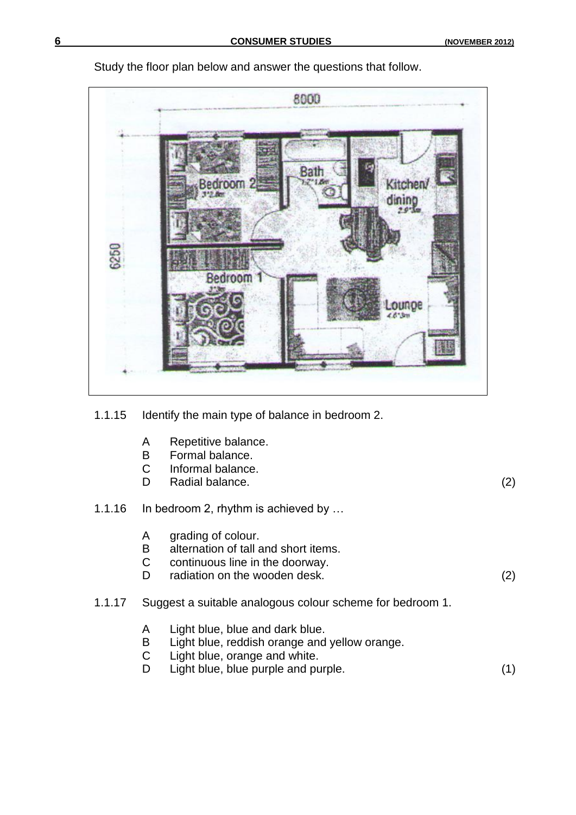

Study the floor plan below and answer the questions that follow.

- C Informal balance.<br>D Radial balance. Radial balance. (2)
- 
- 1.1.16 In bedroom 2, rhythm is achieved by …
	- A grading of colour.
	- B alternation of tall and short items.<br>C continuous line in the doorway.
	- continuous line in the doorway.
	- D radiation on the wooden desk. (2)
- 1.1.17 Suggest a suitable analogous colour scheme for bedroom 1.
	- A Light blue, blue and dark blue.
	- B Light blue, reddish orange and yellow orange.
	- C Light blue, orange and white.
	- D Light blue, blue purple and purple. (1)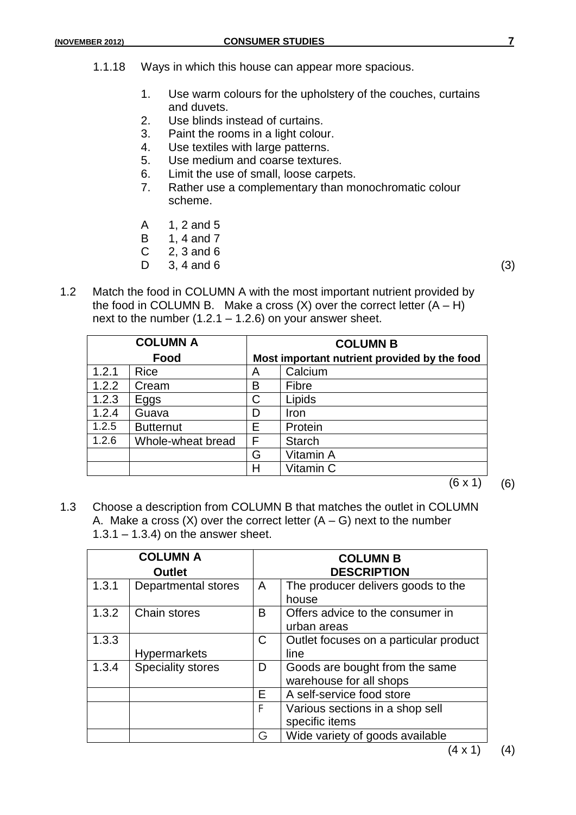- 1.1.18 Ways in which this house can appear more spacious.
	- 1. Use warm colours for the upholstery of the couches, curtains and duvets.
	- 2. Use blinds instead of curtains.
	- 3. Paint the rooms in a light colour.
	- 4. Use textiles with large patterns.
	- 5. Use medium and coarse textures.
	- 6. Limit the use of small, loose carpets.
	- 7. Rather use a complementary than monochromatic colour scheme.
	- A 1, 2 and 5
	- B 1, 4 and 7
	- $C = 2, 3$  and 6
	- $D = 3, 4 \text{ and } 6$  (3)
- 1.2 Match the food in COLUMN A with the most important nutrient provided by the food in COLUMN B. Make a cross  $(X)$  over the correct letter  $(A - H)$ next to the number  $(1.2.1 - 1.2.6)$  on your answer sheet.

|       | <b>COLUMN A</b>   |   | <b>COLUMN B</b>                              |
|-------|-------------------|---|----------------------------------------------|
|       | Food              |   | Most important nutrient provided by the food |
| 1.2.1 | <b>Rice</b>       | A | Calcium                                      |
| 1.2.2 | Cream             | В | Fibre                                        |
| 1.2.3 | Eggs              | C | Lipids                                       |
| 1.2.4 | Guava             | D | Iron                                         |
| 1.2.5 | <b>Butternut</b>  | E | Protein                                      |
| 1.2.6 | Whole-wheat bread | F | <b>Starch</b>                                |
|       |                   | G | Vitamin A                                    |
|       |                   | н | Vitamin C                                    |

 $(6 \times 1)$  (6)

1.3 Choose a description from COLUMN B that matches the outlet in COLUMN A. Make a cross  $(X)$  over the correct letter  $(A - G)$  next to the number  $1.3.1 - 1.3.4$ ) on the answer sheet.

|       | <b>COLUMN A</b><br><b>Outlet</b> |   | <b>COLUMN B</b><br><b>DESCRIPTION</b>                     |
|-------|----------------------------------|---|-----------------------------------------------------------|
| 1.3.1 | Departmental stores              | A | The producer delivers goods to the<br>house               |
| 1.3.2 | Chain stores                     | B | Offers advice to the consumer in<br>urban areas           |
| 1.3.3 | <b>Hypermarkets</b>              | C | Outlet focuses on a particular product<br>line            |
| 1.3.4 | <b>Speciality stores</b>         | D | Goods are bought from the same<br>warehouse for all shops |
|       |                                  | E | A self-service food store                                 |
|       |                                  | F | Various sections in a shop sell<br>specific items         |
|       |                                  | G | Wide variety of goods available                           |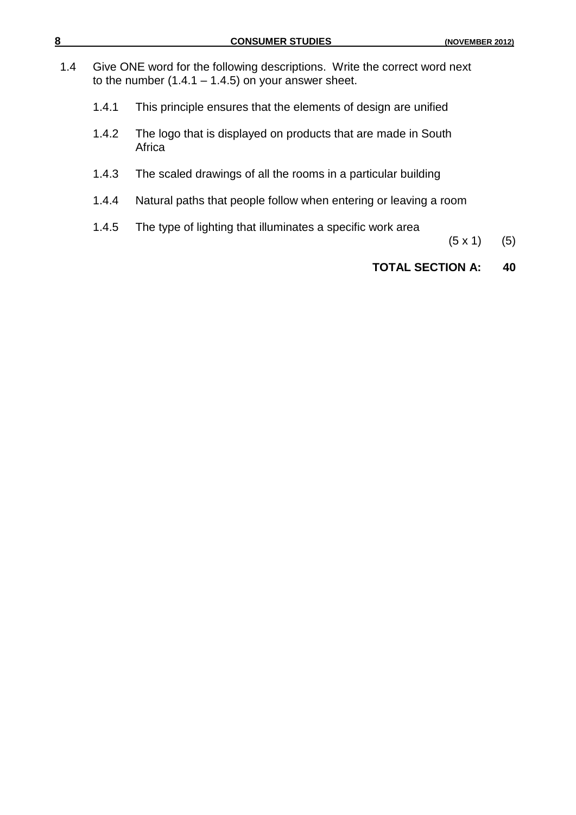- 1.4 Give ONE word for the following descriptions. Write the correct word next to the number  $(1.4.1 - 1.4.5)$  on your answer sheet.
	- 1.4.1 This principle ensures that the elements of design are unified
	- 1.4.2 The logo that is displayed on products that are made in South Africa
	- 1.4.3 The scaled drawings of all the rooms in a particular building
	- 1.4.4 Natural paths that people follow when entering or leaving a room
	- 1.4.5 The type of lighting that illuminates a specific work area
- $(5 \times 1)$  (5)

# **TOTAL SECTION A: 40**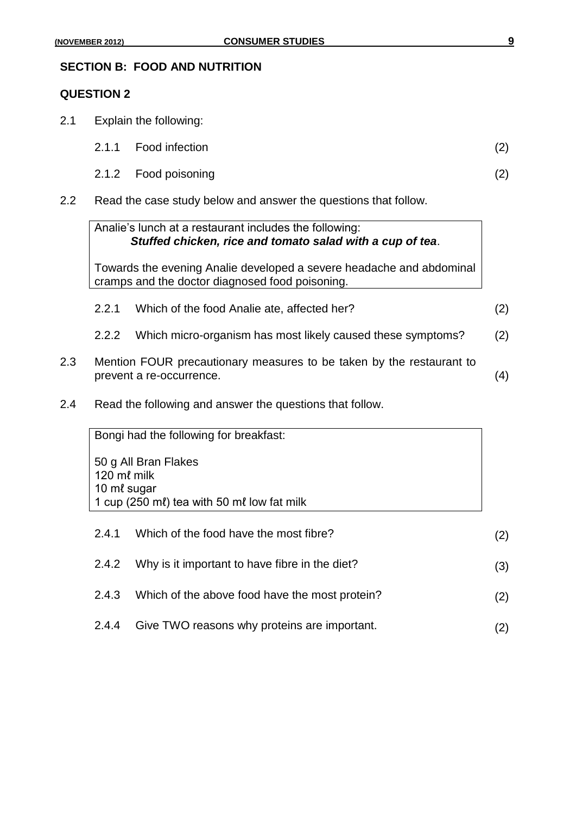#### **SECTION B: FOOD AND NUTRITION**

#### **QUESTION 2**

- 2.1 Explain the following:
	- 2.1.1 Food infection (2)
	- 2.1.2 Food poisoning (2)
- 2.2 Read the case study below and answer the questions that follow.

|     |       | Analie's lunch at a restaurant includes the following:<br>Stuffed chicken, rice and tomato salad with a cup of tea.     |     |
|-----|-------|-------------------------------------------------------------------------------------------------------------------------|-----|
|     |       | Towards the evening Analie developed a severe headache and abdominal<br>cramps and the doctor diagnosed food poisoning. |     |
|     | 2.2.1 | Which of the food Analie ate, affected her?                                                                             | (2) |
|     | 2.2.2 | Which micro-organism has most likely caused these symptoms?                                                             | (2) |
| 2.3 |       | Mention FOUR precautionary measures to be taken by the restaurant to<br>prevent a re-occurrence.                        | 4)  |

2.4 Read the following and answer the questions that follow.

Bongi had the following for breakfast: 50 g All Bran Flakes 120 mℓ milk 10 mℓ sugar 1 cup (250 mℓ) tea with 50 mℓ low fat milk

2.4.1 Which of the food have the most fibre? (2) 2.4.2 Why is it important to have fibre in the diet? (3) 2.4.3 Which of the above food have the most protein? (2) 2.4.4 Give TWO reasons why proteins are important. (2)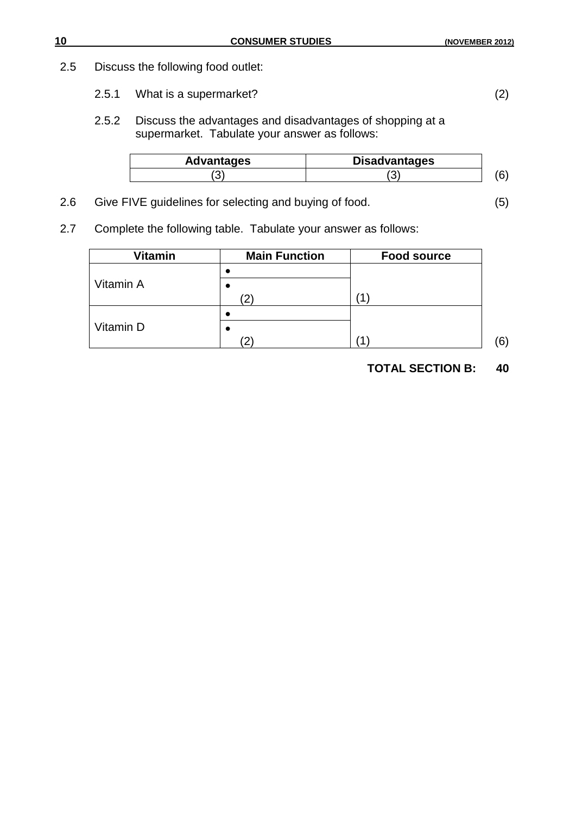# 2.5 Discuss the following food outlet:

- 2.5.1 What is a supermarket? (2)
- 2.5.2 Discuss the advantages and disadvantages of shopping at a supermarket. Tabulate your answer as follows:

| <b>Advantages</b> | <b>Disadvantages</b> |  |
|-------------------|----------------------|--|
|                   | ◡                    |  |

- 2.6 Give FIVE guidelines for selecting and buying of food. (5)
- 2.7 Complete the following table. Tabulate your answer as follows:

| Vitamin   | <b>Main Function</b> | <b>Food source</b> |    |
|-----------|----------------------|--------------------|----|
|           |                      |                    |    |
| Vitamin A |                      |                    |    |
|           |                      |                    |    |
| Vitamin D |                      |                    | (6 |

# **TOTAL SECTION B: 40**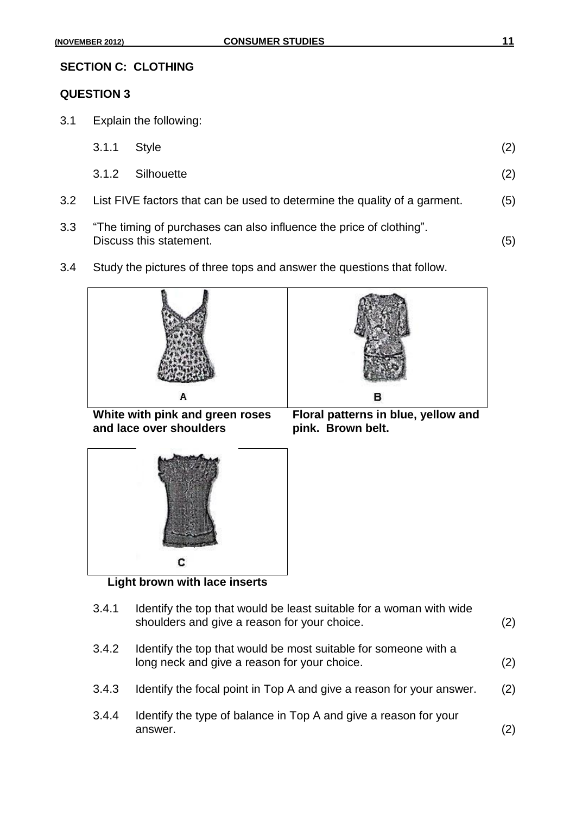#### **SECTION C: CLOTHING**

# **QUESTION 3**

3.1 Explain the following:

| 3.1.1 Style |                                                                               | (2) |
|-------------|-------------------------------------------------------------------------------|-----|
|             | 3.1.2 Silhouette                                                              | (2) |
|             | 3.2 List FIVE factors that can be used to determine the quality of a garment. | (5) |
|             | 3.3 "The timing of purchases can also influence the price of clothing".       |     |

Discuss this statement. (5)

3.4 Study the pictures of three tops and answer the questions that follow.



| Identify the top that would be least suitable for a woman with wide<br>shoulders and give a reason for your choice. | (2) |
|---------------------------------------------------------------------------------------------------------------------|-----|
| Identify the top that would be most suitable for someone with a<br>long neck and give a reason for your choice.     | (2) |
| Identify the focal point in Top A and give a reason for your answer.                                                | (2) |
| Identify the type of balance in Top A and give a reason for your<br>answer.                                         | (2) |
|                                                                                                                     |     |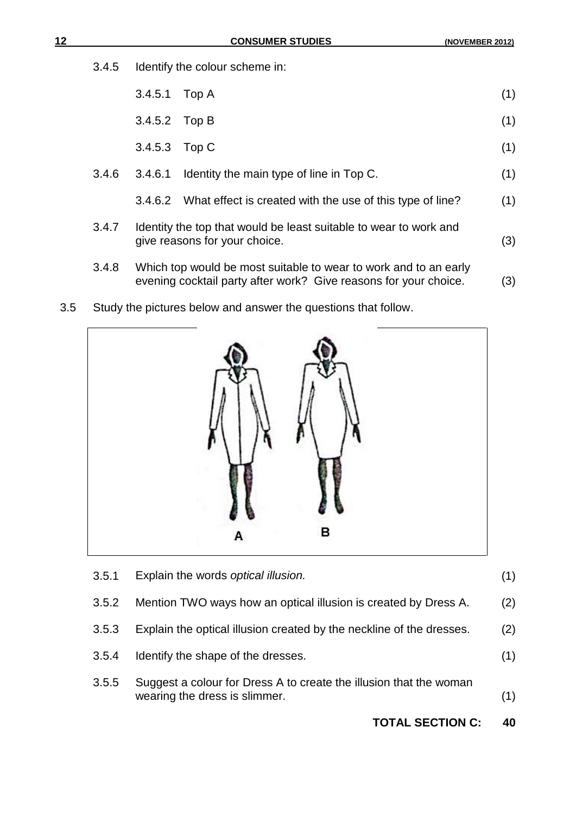3.4.5 Identify the colour scheme in:

|       | 3.4.5.1 | Top A                                                                                                                                | (1) |
|-------|---------|--------------------------------------------------------------------------------------------------------------------------------------|-----|
|       | 3.4.5.2 | Top B                                                                                                                                | (1) |
|       | 3.4.5.3 | Top C                                                                                                                                | (1) |
| 3.4.6 | 3.4.6.1 | Identity the main type of line in Top C.                                                                                             | (1) |
|       | 3.4.6.2 | What effect is created with the use of this type of line?                                                                            | (1) |
| 3.4.7 |         | Identity the top that would be least suitable to wear to work and<br>give reasons for your choice.                                   | (3) |
| 3.4.8 |         | Which top would be most suitable to wear to work and to an early<br>evening cocktail party after work? Give reasons for your choice. | (3) |

3.5 Study the pictures below and answer the questions that follow.



|       | <b>TOTAL SECTION C:</b>                                                                             | 40  |
|-------|-----------------------------------------------------------------------------------------------------|-----|
| 3.5.5 | Suggest a colour for Dress A to create the illusion that the woman<br>wearing the dress is slimmer. | (1) |
| 3.5.4 | Identify the shape of the dresses.                                                                  | (1) |
| 3.5.3 | Explain the optical illusion created by the neckline of the dresses.                                | (2) |
| 3.5.2 | Mention TWO ways how an optical illusion is created by Dress A.                                     | (2) |
| 3.5.1 | Explain the words optical illusion.                                                                 | (1) |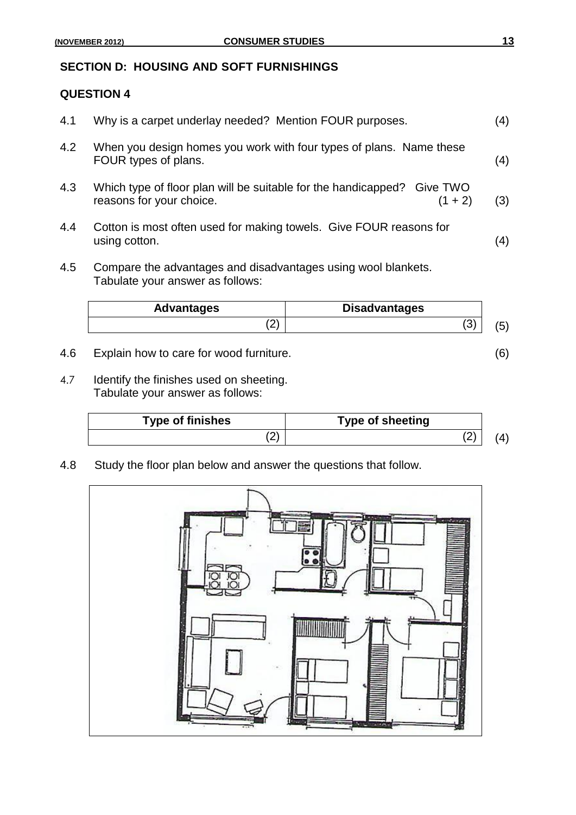### **SECTION D: HOUSING AND SOFT FURNISHINGS**

#### **QUESTION 4**

| 4.1 | Why is a carpet underlay needed? Mention FOUR purposes.                                                          | (4)            |
|-----|------------------------------------------------------------------------------------------------------------------|----------------|
| 4.2 | When you design homes you work with four types of plans. Name these<br>FOUR types of plans.                      | (4)            |
| 4.3 | Which type of floor plan will be suitable for the handicapped? Give TWO<br>reasons for your choice.<br>$(1 + 2)$ | (3)            |
| 4.4 | Cotton is most often used for making towels. Give FOUR reasons for<br>using cotton.                              | $\binom{4}{ }$ |

4.5 Compare the advantages and disadvantages using wool blankets. Tabulate your answer as follows:

| <b>Advantages</b> | <b>Disadvantages</b> |  |
|-------------------|----------------------|--|
| $\epsilon$        | $\sqrt{2}$<br>ື      |  |

- 4.6 Explain how to care for wood furniture. (6)
- 4.7 Identify the finishes used on sheeting. Tabulate your answer as follows:

| <b>Type of finishes</b> | <b>Type of sheeting</b> |  |
|-------------------------|-------------------------|--|
|                         | ורי                     |  |

4.8 Study the floor plan below and answer the questions that follow.

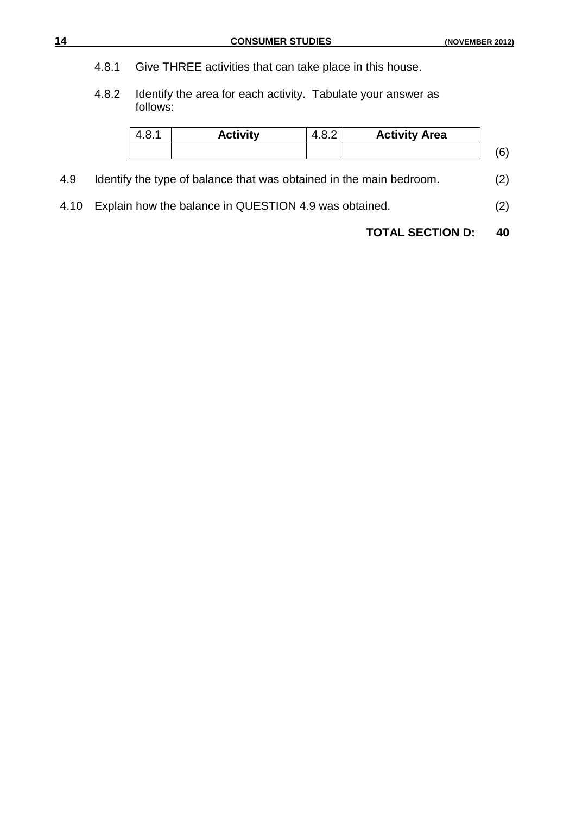- 4.8.1 Give THREE activities that can take place in this house.
- 4.8.2 Identify the area for each activity. Tabulate your answer as follows:

|     | 4.8.1 | <b>Activity</b>                                                     | 4.8.2 | <b>Activity Area</b> |     |
|-----|-------|---------------------------------------------------------------------|-------|----------------------|-----|
|     |       |                                                                     |       |                      |     |
| 4.9 |       | Identify the type of balance that was obtained in the main bedroom. |       |                      | (2) |

- 
- 4.10 Explain how the balance in QUESTION 4.9 was obtained. (2)

**TOTAL SECTION D: 40**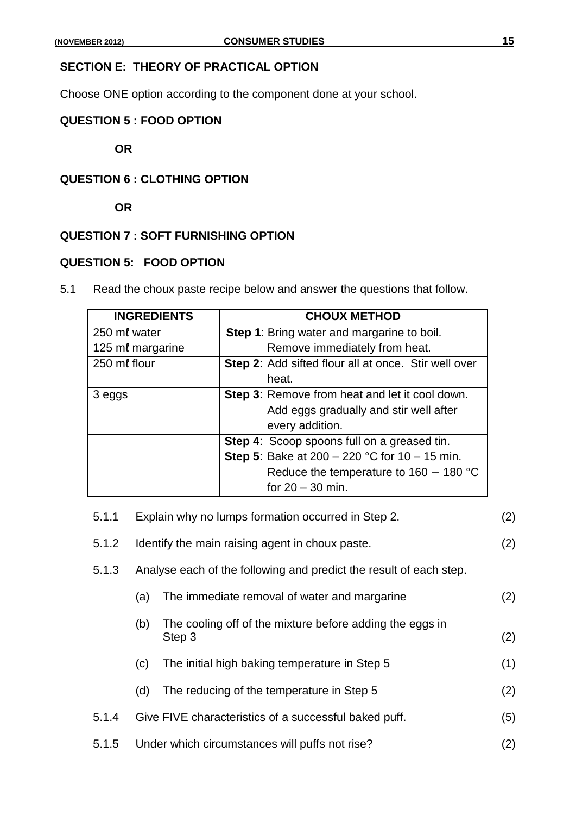# **SECTION E: THEORY OF PRACTICAL OPTION**

Choose ONE option according to the component done at your school.

### **QUESTION 5 : FOOD OPTION**

**OR**

# **QUESTION 6 : CLOTHING OPTION**

**OR**

## **QUESTION 7 : SOFT FURNISHING OPTION**

#### **QUESTION 5: FOOD OPTION**

5.1 Read the choux paste recipe below and answer the questions that follow.

| <b>INGREDIENTS</b> | <b>CHOUX METHOD</b>                                  |
|--------------------|------------------------------------------------------|
| 250 ml water       | <b>Step 1:</b> Bring water and margarine to boil.    |
| 125 ml margarine   | Remove immediately from heat.                        |
| 250 ml flour       | Step 2: Add sifted flour all at once. Stir well over |
|                    | heat.                                                |
| 3 eggs             | Step 3: Remove from heat and let it cool down.       |
|                    | Add eggs gradually and stir well after               |
|                    | every addition.                                      |
|                    | Step 4: Scoop spoons full on a greased tin.          |
|                    | <b>Step 5:</b> Bake at 200 – 220 °C for 10 – 15 min. |
|                    | Reduce the temperature to $160 - 180$ °C             |
|                    | for $20 - 30$ min.                                   |

| 5.1.1 |                                                       | Explain why no lumps formation occurred in Step 2.                 | (2) |  |
|-------|-------------------------------------------------------|--------------------------------------------------------------------|-----|--|
| 5.1.2 | Identify the main raising agent in choux paste.       |                                                                    |     |  |
| 5.1.3 |                                                       | Analyse each of the following and predict the result of each step. |     |  |
|       | (a)                                                   | The immediate removal of water and margarine                       | (2) |  |
|       | (b)                                                   | The cooling off of the mixture before adding the eggs in<br>Step 3 | (2) |  |
|       | (c)                                                   | The initial high baking temperature in Step 5                      | (1) |  |
|       | (d)                                                   | The reducing of the temperature in Step 5                          | (2) |  |
| 5.1.4 |                                                       | Give FIVE characteristics of a successful baked puff.              | (5) |  |
| 5.1.5 | Under which circumstances will puffs not rise?<br>(2) |                                                                    |     |  |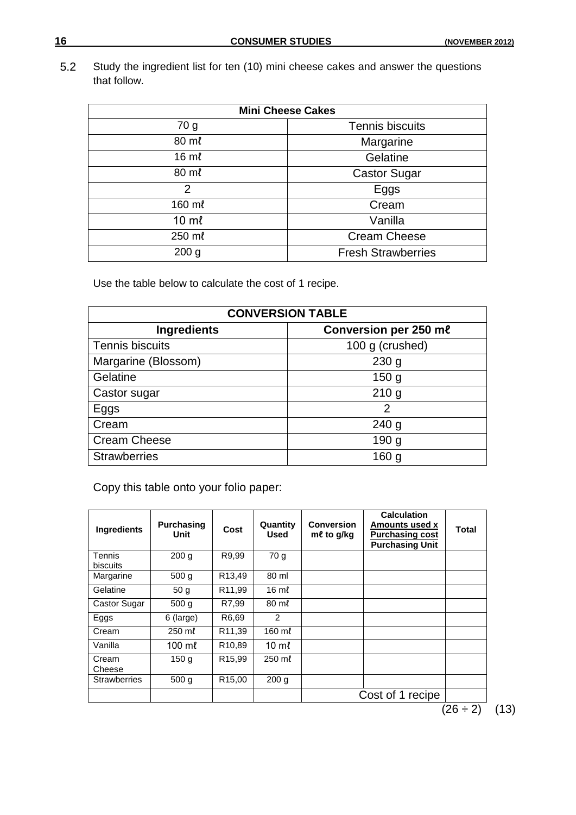5.2 Study the ingredient list for ten (10) mini cheese cakes and answer the questions that follow.

| <b>Mini Cheese Cakes</b> |                           |  |  |
|--------------------------|---------------------------|--|--|
| 70 g                     | <b>Tennis biscuits</b>    |  |  |
| 80 ml                    | Margarine                 |  |  |
| $16 \text{ m}$           | Gelatine                  |  |  |
| 80 ml                    | <b>Castor Sugar</b>       |  |  |
| $\overline{2}$           | Eggs                      |  |  |
| 160 ml                   | Cream                     |  |  |
| $10 \text{ m}$           | Vanilla                   |  |  |
| 250 ml                   | <b>Cream Cheese</b>       |  |  |
| 200 <sub>g</sub>         | <b>Fresh Strawberries</b> |  |  |

Use the table below to calculate the cost of 1 recipe.

| <b>CONVERSION TABLE</b>                     |                  |  |  |  |
|---------------------------------------------|------------------|--|--|--|
| Conversion per 250 me<br><b>Ingredients</b> |                  |  |  |  |
| <b>Tennis biscuits</b>                      | 100 g (crushed)  |  |  |  |
| Margarine (Blossom)                         | 230 <sub>g</sub> |  |  |  |
| Gelatine                                    | 150 <sub>g</sub> |  |  |  |
| Castor sugar                                | 210 <sub>g</sub> |  |  |  |
| Eggs                                        | 2                |  |  |  |
| Cream                                       | 240 <sub>g</sub> |  |  |  |
| <b>Cream Cheese</b>                         | 190 <sub>g</sub> |  |  |  |
| <b>Strawberries</b>                         | 160 <sub>g</sub> |  |  |  |

Copy this table onto your folio paper:

| <b>Ingredients</b>  | <b>Purchasing</b><br>Unit | Cost               | Quantity<br>Used | <b>Conversion</b><br>$m\ell$ to g/kg | <b>Calculation</b><br>Amounts used x<br><b>Purchasing cost</b><br><b>Purchasing Unit</b> | Total |
|---------------------|---------------------------|--------------------|------------------|--------------------------------------|------------------------------------------------------------------------------------------|-------|
| Tennis<br>biscuits  | 200 <sub>q</sub>          | R9,99              | 70 g             |                                      |                                                                                          |       |
| Margarine           | 500 <sub>g</sub>          | R13,49             | 80 ml            |                                      |                                                                                          |       |
| Gelatine            | 50 <sub>g</sub>           | R <sub>11,99</sub> | $16 \text{ m}$   |                                      |                                                                                          |       |
| Castor Sugar        | 500 <sub>q</sub>          | R7.99              | $80 \text{ m}$   |                                      |                                                                                          |       |
| Eggs                | 6 (large)                 | R6.69              | 2                |                                      |                                                                                          |       |
| Cream               | 250 ml                    | R11,39             | 160 ml           |                                      |                                                                                          |       |
| Vanilla             | $100 \text{ m}$           | R <sub>10,89</sub> | $10 \text{ m}$   |                                      |                                                                                          |       |
| Cream<br>Cheese     | 150 <sub>g</sub>          | R <sub>15,99</sub> | 250 ml           |                                      |                                                                                          |       |
| <b>Strawberries</b> | 500 <sub>g</sub>          | R <sub>15,00</sub> | 200 g            |                                      |                                                                                          |       |
|                     |                           |                    |                  |                                      | Cost of 1 recipe                                                                         |       |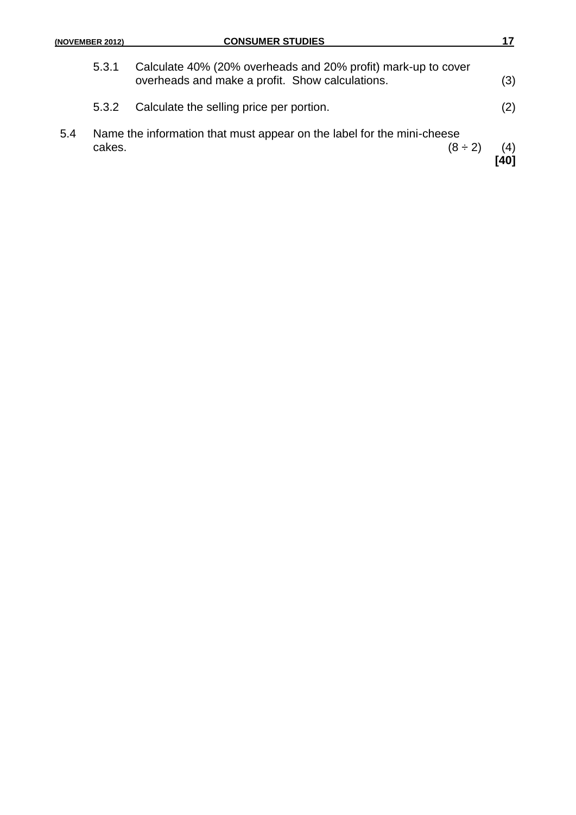| (NOVEMBER 2012) |  |
|-----------------|--|
|-----------------|--|

|     |        |                                                                                                                  | 401 |
|-----|--------|------------------------------------------------------------------------------------------------------------------|-----|
| 5.4 | cakes. | Name the information that must appear on the label for the mini-cheese<br>$(8 \div 2)$                           | (4) |
|     | 5.3.2  | Calculate the selling price per portion.                                                                         | (2) |
|     | 5.3.1  | Calculate 40% (20% overheads and 20% profit) mark-up to cover<br>overheads and make a profit. Show calculations. | (3) |
|     |        |                                                                                                                  |     |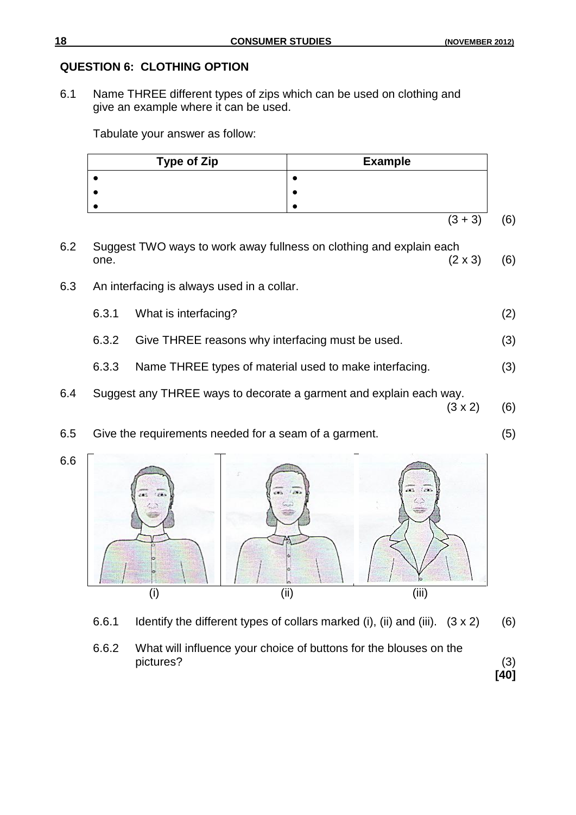# **QUESTION 6: CLOTHING OPTION**

6.1 Name THREE different types of zips which can be used on clothing and give an example where it can be used.

Tabulate your answer as follow:

| <b>Type of Zip</b> | <b>Example</b> |    |
|--------------------|----------------|----|
|                    |                |    |
|                    |                |    |
|                    |                |    |
|                    | $(3 + 3)$      | 6) |

- 6.2 Suggest TWO ways to work away fullness on clothing and explain each one.  $(2 \times 3)$  (6)
- 6.3 An interfacing is always used in a collar.
	- 6.3.1 What is interfacing? (2)
	- 6.3.2 Give THREE reasons why interfacing must be used. (3)
	- 6.3.3 Name THREE types of material used to make interfacing. (3)
- 6.4 Suggest any THREE ways to decorate a garment and explain each way.
	- $(3 \times 2)$  (6)
- 6.6  $\frac{1}{2}$ ..  $\left\langle \right\rangle$ (i) (ii) (iii)
	- 6.6.1 Identify the different types of collars marked (i), (ii) and (iii).  $(3 \times 2)$  (6)
	- 6.6.2 What will influence your choice of buttons for the blouses on the pictures? (3)

**[40]**

6.5 Give the requirements needed for a seam of a garment. (5)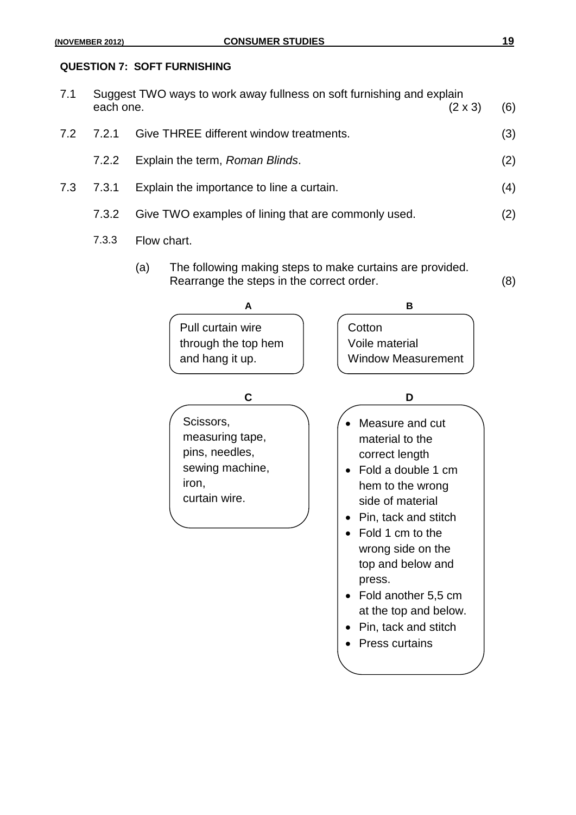#### **QUESTION 7: SOFT FURNISHING**

| 7.1 | each one. | Suggest TWO ways to work away fullness on soft furnishing and explain<br>$(2 \times 3)$ | (6) |
|-----|-----------|-----------------------------------------------------------------------------------------|-----|
| 7.2 | 7.2.1     | Give THREE different window treatments.                                                 | (3) |
|     | 7.2.2     | Explain the term, Roman Blinds.                                                         | (2) |
| 7.3 | 7.3.1     | Explain the importance to line a curtain.                                               | (4) |
|     | 7.3.2     | Give TWO examples of lining that are commonly used.                                     | (2) |
|     |           |                                                                                         |     |

- 7.3.3 Flow chart.
	- (a) The following making steps to make curtains are provided. Rearrange the steps in the correct order. (8)

| A                                                                                           | в                                                                                                                                                                                                                                                                                                            |
|---------------------------------------------------------------------------------------------|--------------------------------------------------------------------------------------------------------------------------------------------------------------------------------------------------------------------------------------------------------------------------------------------------------------|
| Pull curtain wire<br>through the top hem<br>and hang it up.                                 | Cotton<br>Voile material<br><b>Window Measurement</b>                                                                                                                                                                                                                                                        |
| C                                                                                           | D                                                                                                                                                                                                                                                                                                            |
| Scissors,<br>measuring tape,<br>pins, needles,<br>sewing machine,<br>iron,<br>curtain wire. | Measure and cut<br>material to the<br>correct length<br>Fold a double 1 cm<br>hem to the wrong<br>side of material<br>Pin, tack and stitch<br>Fold 1 cm to the<br>wrong side on the<br>top and below and<br>press.<br>Fold another 5,5 cm<br>at the top and below.<br>Pin, tack and stitch<br>Press curtains |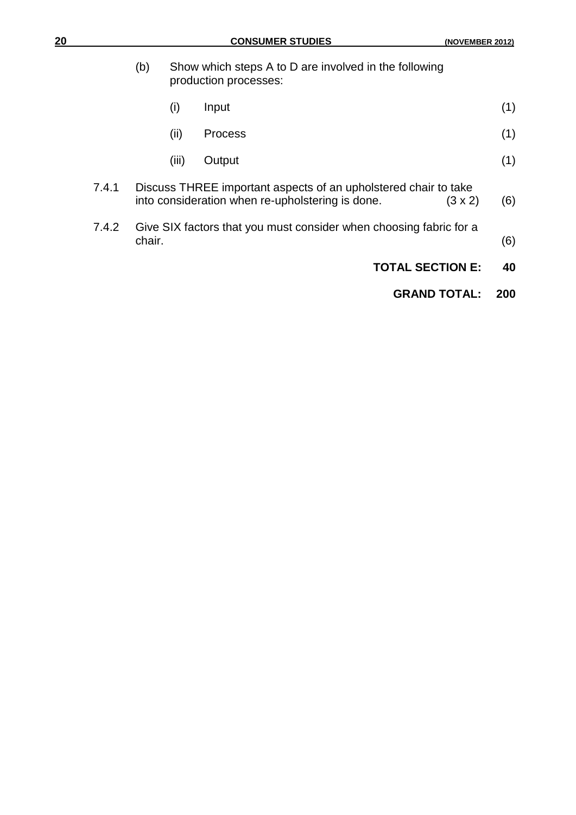|       | (b)    | Show which steps A to D are involved in the following<br>production processes: |                                                                                                                                       |     |  |  |  |  |  |
|-------|--------|--------------------------------------------------------------------------------|---------------------------------------------------------------------------------------------------------------------------------------|-----|--|--|--|--|--|
|       |        | (i)                                                                            | Input                                                                                                                                 | (1) |  |  |  |  |  |
|       |        | (ii)                                                                           | <b>Process</b>                                                                                                                        | (1) |  |  |  |  |  |
|       |        | (iii)                                                                          | Output                                                                                                                                | (1) |  |  |  |  |  |
| 7.4.1 |        |                                                                                | Discuss THREE important aspects of an upholstered chair to take<br>into consideration when re-upholstering is done.<br>$(3 \times 2)$ | (6) |  |  |  |  |  |
| 7.4.2 | chair. |                                                                                | Give SIX factors that you must consider when choosing fabric for a                                                                    | (6) |  |  |  |  |  |
|       |        |                                                                                | <b>TOTAL SECTION E:</b>                                                                                                               | 40  |  |  |  |  |  |
|       |        |                                                                                | <b>GRAND TOTAL:</b>                                                                                                                   | 200 |  |  |  |  |  |
|       |        |                                                                                |                                                                                                                                       |     |  |  |  |  |  |